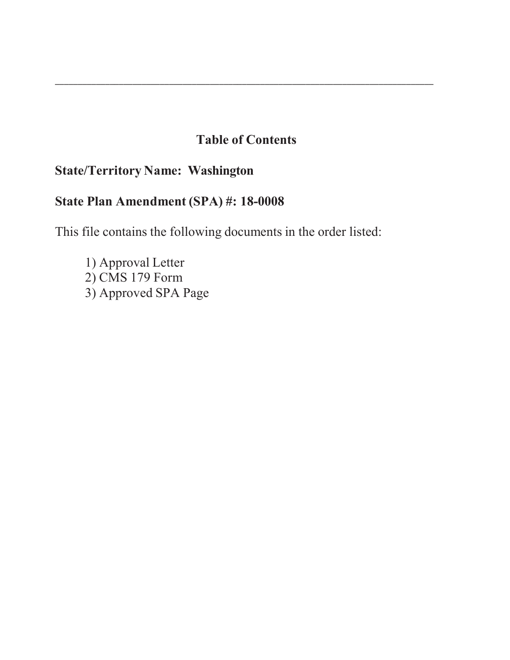# **Table of Contents**

\_\_\_\_\_\_\_\_\_\_\_\_\_\_\_\_\_\_\_\_\_\_\_\_\_\_\_\_\_\_\_\_\_\_\_\_\_\_\_\_\_\_\_\_\_\_\_\_\_\_\_\_\_\_\_\_\_\_\_\_\_\_\_\_\_\_\_\_\_\_\_\_\_\_\_\_\_\_\_\_\_\_\_

# **State/Territory Name: Washington**

# **State Plan Amendment (SPA) #: 18-0008**

This file contains the following documents in the order listed:

1) Approval Letter 2) CMS 179 Form 3) Approved SPA Page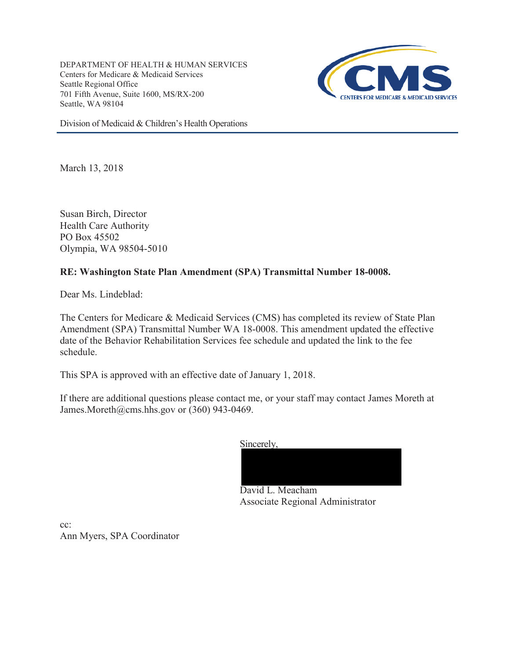DEPARTMENT OF HEALTH & HUMAN SERVICES Centers for Medicare & Medicaid Services Seattle Regional Office 701 Fifth Avenue, Suite 1600, MS/RX-200 Seattle, WA 98104



Division of Medicaid & Children's Health Operations

March 13, 2018

Susan Birch, Director Health Care Authority PO Box 45502 Olympia, WA 98504-5010

### **RE: Washington State Plan Amendment (SPA) Transmittal Number 18-0008.**

Dear Ms. Lindeblad:

The Centers for Medicare & Medicaid Services (CMS) has completed its review of State Plan Amendment (SPA) Transmittal Number WA 18-0008. This amendment updated the effective date of the Behavior Rehabilitation Services fee schedule and updated the link to the fee schedule.

This SPA is approved with an effective date of January 1, 2018.

If there are additional questions please contact me, or your staff may contact James Moreth at James.Moreth@cms.hhs.gov or (360) 943-0469.



Associate Regional Administrator

 $cc^{\dagger}$ Ann Myers, SPA Coordinator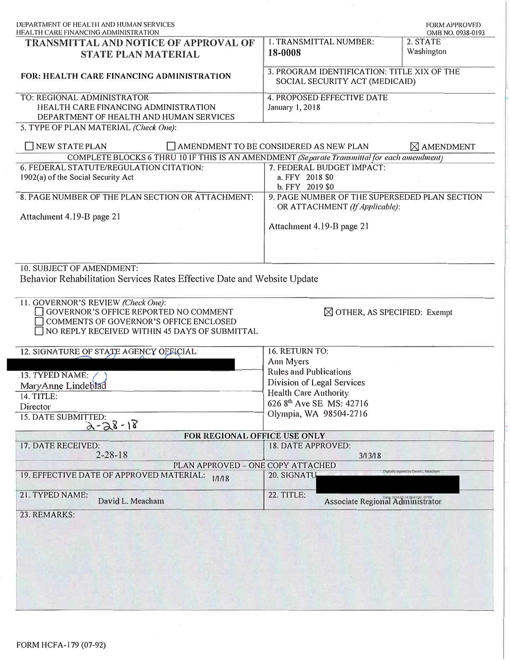|                                                | <b>FORM APPROVED</b><br>OMB NO. 0938-0193                                                                                                                                                                                                                                                                                                                                                                                                                                                                                                                                                       |
|------------------------------------------------|-------------------------------------------------------------------------------------------------------------------------------------------------------------------------------------------------------------------------------------------------------------------------------------------------------------------------------------------------------------------------------------------------------------------------------------------------------------------------------------------------------------------------------------------------------------------------------------------------|
| 1. TRANSMITTAL NUMBER:<br>18-0008              | 2. STATE<br>Washington                                                                                                                                                                                                                                                                                                                                                                                                                                                                                                                                                                          |
|                                                |                                                                                                                                                                                                                                                                                                                                                                                                                                                                                                                                                                                                 |
| 4. PROPOSED EFFECTIVE DATE<br>January 1, 2018  |                                                                                                                                                                                                                                                                                                                                                                                                                                                                                                                                                                                                 |
|                                                |                                                                                                                                                                                                                                                                                                                                                                                                                                                                                                                                                                                                 |
|                                                | $\boxtimes$ AMENDMENT                                                                                                                                                                                                                                                                                                                                                                                                                                                                                                                                                                           |
|                                                |                                                                                                                                                                                                                                                                                                                                                                                                                                                                                                                                                                                                 |
| 7. FEDERAL BUDGET IMPACT:<br>a. FFY 2018 \$0   |                                                                                                                                                                                                                                                                                                                                                                                                                                                                                                                                                                                                 |
|                                                |                                                                                                                                                                                                                                                                                                                                                                                                                                                                                                                                                                                                 |
| Attachment 4.19-B page 21                      |                                                                                                                                                                                                                                                                                                                                                                                                                                                                                                                                                                                                 |
|                                                |                                                                                                                                                                                                                                                                                                                                                                                                                                                                                                                                                                                                 |
|                                                |                                                                                                                                                                                                                                                                                                                                                                                                                                                                                                                                                                                                 |
|                                                |                                                                                                                                                                                                                                                                                                                                                                                                                                                                                                                                                                                                 |
| 16. RETURN TO:                                 |                                                                                                                                                                                                                                                                                                                                                                                                                                                                                                                                                                                                 |
|                                                |                                                                                                                                                                                                                                                                                                                                                                                                                                                                                                                                                                                                 |
|                                                |                                                                                                                                                                                                                                                                                                                                                                                                                                                                                                                                                                                                 |
|                                                |                                                                                                                                                                                                                                                                                                                                                                                                                                                                                                                                                                                                 |
| 626 8 <sup>th</sup> Ave SE MS: 42716           |                                                                                                                                                                                                                                                                                                                                                                                                                                                                                                                                                                                                 |
| Olympia, WA 98504-2716                         |                                                                                                                                                                                                                                                                                                                                                                                                                                                                                                                                                                                                 |
|                                                |                                                                                                                                                                                                                                                                                                                                                                                                                                                                                                                                                                                                 |
| <b>18. DATE APPROVED:</b><br>3/13/18           |                                                                                                                                                                                                                                                                                                                                                                                                                                                                                                                                                                                                 |
|                                                |                                                                                                                                                                                                                                                                                                                                                                                                                                                                                                                                                                                                 |
| PLAN APPROVED - ONE COPY ATTACHED              |                                                                                                                                                                                                                                                                                                                                                                                                                                                                                                                                                                                                 |
| 20. SIGNATU                                    |                                                                                                                                                                                                                                                                                                                                                                                                                                                                                                                                                                                                 |
| 22. TITLE:<br>Associate Regional Administrator |                                                                                                                                                                                                                                                                                                                                                                                                                                                                                                                                                                                                 |
|                                                | 3. PROGRAM IDENTIFICATION: TITLE XIX OF THE<br>SOCIAL SECURITY ACT (MEDICAID)<br>AMENDMENT TO BE CONSIDERED AS NEW PLAN<br>COMPLETE BLOCKS 6 THRU 10 IF THIS IS AN AMENDMENT (Separate Transmittal for each amendment)<br>b. FFY 2019 \$0<br>9. PAGE NUMBER OF THE SUPERSEDED PLAN SECTION<br>OR ATTACHMENT (If Applicable):<br>Behavior Rehabilitation Services Rates Effective Date and Website Update<br>$\boxtimes$ OTHER, AS SPECIFIED: Exempt<br>Ann Myers<br><b>Rules and Publications</b><br>Division of Legal Services<br><b>Health Care Authority</b><br>FOR REGIONAL OFFICE USE ONLY |